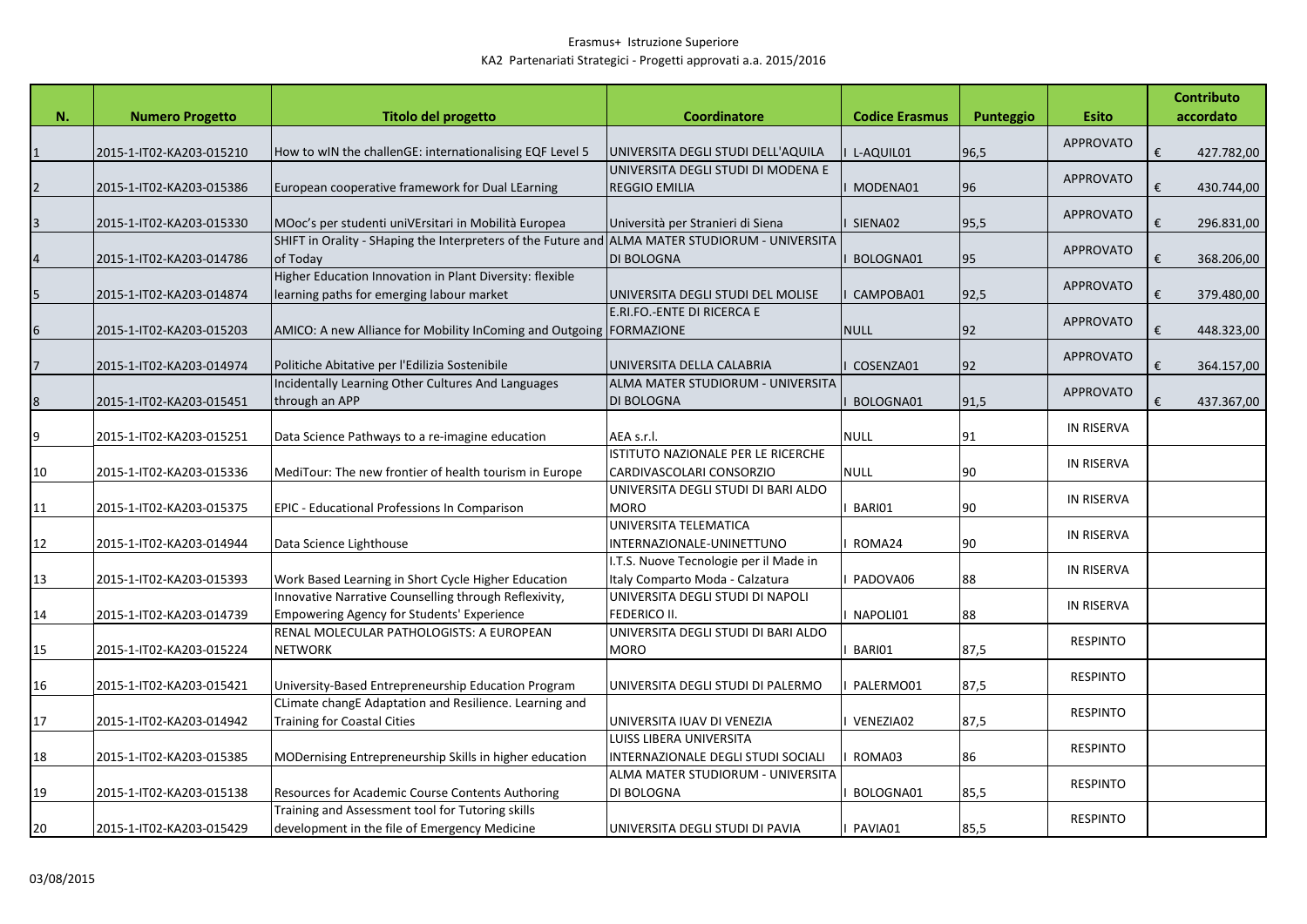|    |                          |                                                                                                 |                                        |                       |           |                   | <b>Contributo</b> |
|----|--------------------------|-------------------------------------------------------------------------------------------------|----------------------------------------|-----------------------|-----------|-------------------|-------------------|
| N. | <b>Numero Progetto</b>   | <b>Titolo del progetto</b>                                                                      | <b>Coordinatore</b>                    | <b>Codice Erasmus</b> | Punteggio | <b>Esito</b>      | accordato         |
|    | 2015-1-IT02-KA203-015210 | How to wIN the challenGE: internationalising EQF Level 5                                        | UNIVERSITA DEGLI STUDI DELL'AQUILA     | L-AQUIL01             | 96,5      | <b>APPROVATO</b>  | €<br>427.782,00   |
|    |                          |                                                                                                 | UNIVERSITA DEGLI STUDI DI MODENA E     |                       |           |                   |                   |
|    | 2015-1-IT02-KA203-015386 | European cooperative framework for Dual LEarning                                                | <b>REGGIO EMILIA</b>                   | MODENA01              | 96        | <b>APPROVATO</b>  | €<br>430.744,00   |
|    |                          |                                                                                                 |                                        |                       |           |                   |                   |
|    | 2015-1-IT02-KA203-015330 | MOoc's per studenti uniVErsitari in Mobilità Europea                                            | Università per Stranieri di Siena      | SIENA02               | 95,5      | APPROVATO         | €<br>296.831,00   |
|    |                          | SHIFT in Orality - SHaping the Interpreters of the Future and ALMA MATER STUDIORUM - UNIVERSITA |                                        |                       |           | <b>APPROVATO</b>  |                   |
|    | 2015-1-IT02-KA203-014786 | of Today                                                                                        | <b>DI BOLOGNA</b>                      | BOLOGNA01             | 95        |                   | €<br>368.206,00   |
|    |                          | Higher Education Innovation in Plant Diversity: flexible                                        |                                        |                       |           | <b>APPROVATO</b>  |                   |
| 5  | 2015-1-IT02-KA203-014874 | learning paths for emerging labour market                                                       | UNIVERSITA DEGLI STUDI DEL MOLISE      | CAMPOBA01             | 92,5      |                   | €<br>379.480,00   |
|    |                          |                                                                                                 | E.RI.FO.-ENTE DI RICERCA E             |                       |           | <b>APPROVATO</b>  |                   |
|    | 2015-1-IT02-KA203-015203 | AMICO: A new Alliance for Mobility InComing and Outgoing   FORMAZIONE                           |                                        | <b>NULL</b>           | 92        |                   | €<br>448.323,00   |
|    |                          |                                                                                                 |                                        |                       |           | APPROVATO         |                   |
|    | 2015-1-IT02-KA203-014974 | Politiche Abitative per l'Edilizia Sostenibile                                                  | UNIVERSITA DELLA CALABRIA              | COSENZA01             | 92        |                   | 364.157,00<br>€   |
|    |                          | Incidentally Learning Other Cultures And Languages                                              | ALMA MATER STUDIORUM - UNIVERSITA      |                       |           | <b>APPROVATO</b>  |                   |
| 8  | 2015-1-IT02-KA203-015451 | through an APP                                                                                  | <b>DI BOLOGNA</b>                      | BOLOGNA01             | 91,5      |                   | 437.367,00<br>€   |
|    |                          |                                                                                                 |                                        |                       |           | <b>IN RISERVA</b> |                   |
| 9  | 2015-1-IT02-KA203-015251 | Data Science Pathways to a re-imagine education                                                 | AEA s.r.l.                             | <b>NULL</b>           | 91        |                   |                   |
|    |                          |                                                                                                 | ISTITUTO NAZIONALE PER LE RICERCHE     |                       |           | <b>IN RISERVA</b> |                   |
| 10 | 2015-1-IT02-KA203-015336 | MediTour: The new frontier of health tourism in Europe                                          | CARDIVASCOLARI CONSORZIO               | <b>NULL</b>           | 90        |                   |                   |
|    |                          |                                                                                                 | UNIVERSITA DEGLI STUDI DI BARI ALDO    |                       |           | <b>IN RISERVA</b> |                   |
| 11 | 2015-1-IT02-KA203-015375 | <b>EPIC - Educational Professions In Comparison</b>                                             | <b>MORO</b>                            | BARI01                | 90        |                   |                   |
|    |                          |                                                                                                 | UNIVERSITA TELEMATICA                  |                       |           | <b>IN RISERVA</b> |                   |
| 12 | 2015-1-IT02-KA203-014944 | Data Science Lighthouse                                                                         | INTERNAZIONALE-UNINETTUNO              | ROMA24                | 90        |                   |                   |
|    |                          |                                                                                                 | I.T.S. Nuove Tecnologie per il Made in |                       |           | IN RISERVA        |                   |
| 13 | 2015-1-IT02-KA203-015393 | Work Based Learning in Short Cycle Higher Education                                             | Italy Comparto Moda - Calzatura        | PADOVA06              | 88        |                   |                   |
|    |                          | Innovative Narrative Counselling through Reflexivity,                                           | UNIVERSITA DEGLI STUDI DI NAPOLI       |                       |           | <b>IN RISERVA</b> |                   |
| 14 | 2015-1-IT02-KA203-014739 | <b>Empowering Agency for Students' Experience</b>                                               | FEDERICO II.                           | NAPOLI01              | 88        |                   |                   |
|    |                          | RENAL MOLECULAR PATHOLOGISTS: A EUROPEAN                                                        | UNIVERSITA DEGLI STUDI DI BARI ALDO    |                       |           | <b>RESPINTO</b>   |                   |
| 15 | 2015-1-IT02-KA203-015224 | <b>NETWORK</b>                                                                                  | <b>MORO</b>                            | BARI01                | 87,5      |                   |                   |
|    |                          |                                                                                                 |                                        |                       |           | <b>RESPINTO</b>   |                   |
| 16 | 2015-1-IT02-KA203-015421 | University-Based Entrepreneurship Education Program                                             | UNIVERSITA DEGLI STUDI DI PALERMO      | PALERMO01             | 87,5      |                   |                   |
|    |                          | CLimate changE Adaptation and Resilience. Learning and                                          |                                        |                       |           | <b>RESPINTO</b>   |                   |
| 17 | 2015-1-IT02-KA203-014942 | <b>Training for Coastal Cities</b>                                                              | UNIVERSITA IUAV DI VENEZIA             | VENEZIA02             | 87,5      |                   |                   |
|    |                          |                                                                                                 | <b>LUISS LIBERA UNIVERSITA</b>         |                       |           | <b>RESPINTO</b>   |                   |
| 18 | 2015-1-IT02-KA203-015385 | MODernising Entrepreneurship Skills in higher education                                         | INTERNAZIONALE DEGLI STUDI SOCIALI     | ROMA03                | 86        |                   |                   |
|    |                          |                                                                                                 | ALMA MATER STUDIORUM - UNIVERSITA      |                       |           | <b>RESPINTO</b>   |                   |
| 19 | 2015-1-IT02-KA203-015138 | Resources for Academic Course Contents Authoring                                                | DI BOLOGNA                             | BOLOGNA01             | 85,5      |                   |                   |
|    |                          | Training and Assessment tool for Tutoring skills                                                |                                        |                       |           | <b>RESPINTO</b>   |                   |
| 20 | 2015-1-IT02-KA203-015429 | development in the file of Emergency Medicine                                                   | UNIVERSITA DEGLI STUDI DI PAVIA        | PAVIA01               | 85,5      |                   |                   |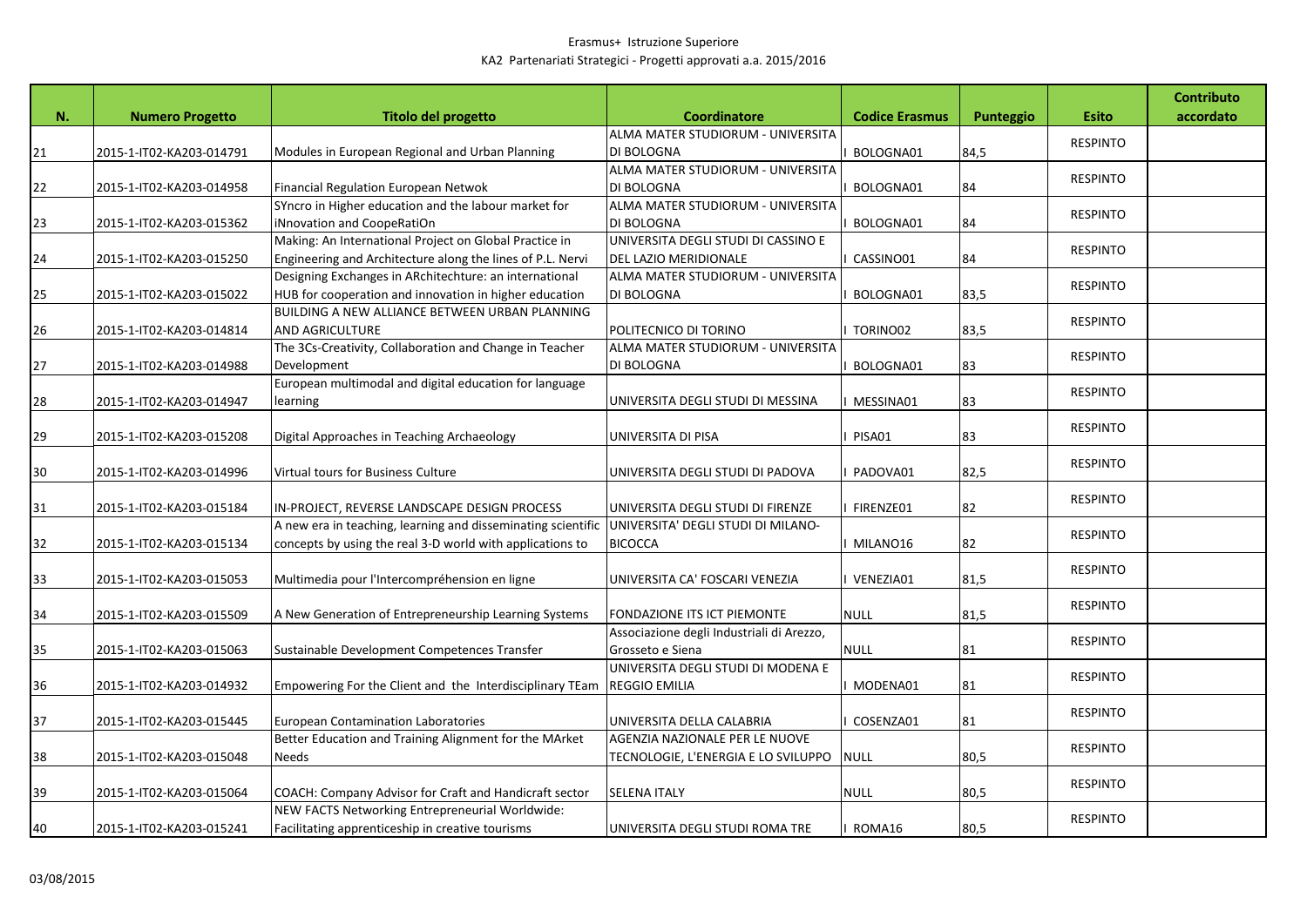|    |                          |                                                                                                              |                                                                         |                       |           |                 | <b>Contributo</b> |
|----|--------------------------|--------------------------------------------------------------------------------------------------------------|-------------------------------------------------------------------------|-----------------------|-----------|-----------------|-------------------|
| N. | <b>Numero Progetto</b>   | <b>Titolo del progetto</b>                                                                                   | <b>Coordinatore</b>                                                     | <b>Codice Erasmus</b> | Punteggio | <b>Esito</b>    | accordato         |
|    |                          |                                                                                                              | ALMA MATER STUDIORUM - UNIVERSITA                                       |                       |           | <b>RESPINTO</b> |                   |
| 21 | 2015-1-IT02-KA203-014791 | Modules in European Regional and Urban Planning                                                              | DI BOLOGNA<br>ALMA MATER STUDIORUM - UNIVERSITA                         | BOLOGNA01             | 84,5      |                 |                   |
| 22 | 2015-1-IT02-KA203-014958 | Financial Regulation European Netwok                                                                         | DI BOLOGNA                                                              | BOLOGNA01             | 84        | <b>RESPINTO</b> |                   |
|    |                          | SYncro in Higher education and the labour market for                                                         | ALMA MATER STUDIORUM - UNIVERSITA                                       |                       |           |                 |                   |
| 23 | 2015-1-IT02-KA203-015362 | iNnovation and CoopeRatiOn                                                                                   | DI BOLOGNA                                                              | BOLOGNA01             | 84        | <b>RESPINTO</b> |                   |
|    |                          | Making: An International Project on Global Practice in                                                       | UNIVERSITA DEGLI STUDI DI CASSINO E                                     |                       |           |                 |                   |
| 24 | 2015-1-IT02-KA203-015250 | Engineering and Architecture along the lines of P.L. Nervi                                                   | DEL LAZIO MERIDIONALE                                                   | CASSINO01             | 84        | <b>RESPINTO</b> |                   |
|    |                          | Designing Exchanges in ARchitechture: an international                                                       | ALMA MATER STUDIORUM - UNIVERSITA                                       |                       |           |                 |                   |
| 25 | 2015-1-IT02-KA203-015022 | HUB for cooperation and innovation in higher education                                                       | DI BOLOGNA                                                              | BOLOGNA01             | 83,5      | <b>RESPINTO</b> |                   |
|    |                          | BUILDING A NEW ALLIANCE BETWEEN URBAN PLANNING                                                               |                                                                         |                       |           | <b>RESPINTO</b> |                   |
| 26 | 2015-1-IT02-KA203-014814 | <b>AND AGRICULTURE</b>                                                                                       | POLITECNICO DI TORINO                                                   | TORINO02              | 83,5      |                 |                   |
|    |                          | The 3Cs-Creativity, Collaboration and Change in Teacher                                                      | ALMA MATER STUDIORUM - UNIVERSITA                                       |                       |           | <b>RESPINTO</b> |                   |
| 27 | 2015-1-IT02-KA203-014988 | Development                                                                                                  | DI BOLOGNA                                                              | BOLOGNA01             | 83        |                 |                   |
|    |                          | European multimodal and digital education for language                                                       |                                                                         |                       |           | <b>RESPINTO</b> |                   |
| 28 | 2015-1-IT02-KA203-014947 | learning                                                                                                     | UNIVERSITA DEGLI STUDI DI MESSINA                                       | MESSINA01             | 83        |                 |                   |
|    |                          |                                                                                                              |                                                                         |                       |           | <b>RESPINTO</b> |                   |
| 29 | 2015-1-IT02-KA203-015208 | Digital Approaches in Teaching Archaeology                                                                   | UNIVERSITA DI PISA                                                      | PISA01                | 83        |                 |                   |
|    |                          |                                                                                                              |                                                                         |                       |           | <b>RESPINTO</b> |                   |
| 30 | 2015-1-IT02-KA203-014996 | Virtual tours for Business Culture                                                                           | UNIVERSITA DEGLI STUDI DI PADOVA                                        | PADOVA01              | 82,5      |                 |                   |
|    |                          |                                                                                                              |                                                                         |                       | 82        | <b>RESPINTO</b> |                   |
| 31 | 2015-1-IT02-KA203-015184 | IN-PROJECT, REVERSE LANDSCAPE DESIGN PROCESS<br>A new era in teaching, learning and disseminating scientific | UNIVERSITA DEGLI STUDI DI FIRENZE<br>UNIVERSITA' DEGLI STUDI DI MILANO- | FIRENZE01             |           |                 |                   |
| 32 | 2015-1-IT02-KA203-015134 | concepts by using the real 3-D world with applications to                                                    | <b>BICOCCA</b>                                                          | MILANO16              | 82        | <b>RESPINTO</b> |                   |
|    |                          |                                                                                                              |                                                                         |                       |           |                 |                   |
| 33 | 2015-1-IT02-KA203-015053 | Multimedia pour l'Intercompréhension en ligne                                                                | UNIVERSITA CA' FOSCARI VENEZIA                                          | VENEZIA01             | 81,5      | <b>RESPINTO</b> |                   |
|    |                          |                                                                                                              |                                                                         |                       |           |                 |                   |
| 34 | 2015-1-IT02-KA203-015509 | A New Generation of Entrepreneurship Learning Systems                                                        | FONDAZIONE ITS ICT PIEMONTE                                             | <b>NULL</b>           | 81,5      | <b>RESPINTO</b> |                   |
|    |                          |                                                                                                              | Associazione degli Industriali di Arezzo,                               |                       |           |                 |                   |
| 35 | 2015-1-IT02-KA203-015063 | Sustainable Development Competences Transfer                                                                 | Grosseto e Siena                                                        | <b>NULL</b>           | 81        | <b>RESPINTO</b> |                   |
|    |                          |                                                                                                              | UNIVERSITA DEGLI STUDI DI MODENA E                                      |                       |           |                 |                   |
| 36 | 2015-1-IT02-KA203-014932 | Empowering For the Client and the Interdisciplinary TEam                                                     | <b>REGGIO EMILIA</b>                                                    | MODENA01              | 81        | <b>RESPINTO</b> |                   |
|    |                          |                                                                                                              |                                                                         |                       |           | <b>RESPINTO</b> |                   |
| 37 | 2015-1-IT02-KA203-015445 | <b>European Contamination Laboratories</b>                                                                   | UNIVERSITA DELLA CALABRIA                                               | COSENZA01             | 81        |                 |                   |
|    |                          | Better Education and Training Alignment for the MArket                                                       | AGENZIA NAZIONALE PER LE NUOVE                                          |                       |           | <b>RESPINTO</b> |                   |
| 38 | 2015-1-IT02-KA203-015048 | <b>Needs</b>                                                                                                 | TECNOLOGIE, L'ENERGIA E LO SVILUPPO                                     | <b>NULL</b>           | 80,5      |                 |                   |
|    |                          |                                                                                                              |                                                                         |                       |           | <b>RESPINTO</b> |                   |
| 39 | 2015-1-IT02-KA203-015064 | COACH: Company Advisor for Craft and Handicraft sector                                                       | <b>SELENA ITALY</b>                                                     | <b>NULL</b>           | 80,5      |                 |                   |
|    |                          | NEW FACTS Networking Entrepreneurial Worldwide:                                                              |                                                                         |                       |           | <b>RESPINTO</b> |                   |
| 40 | 2015-1-IT02-KA203-015241 | Facilitating apprenticeship in creative tourisms                                                             | UNIVERSITA DEGLI STUDI ROMA TRE                                         | ROMA16                | 80,5      |                 |                   |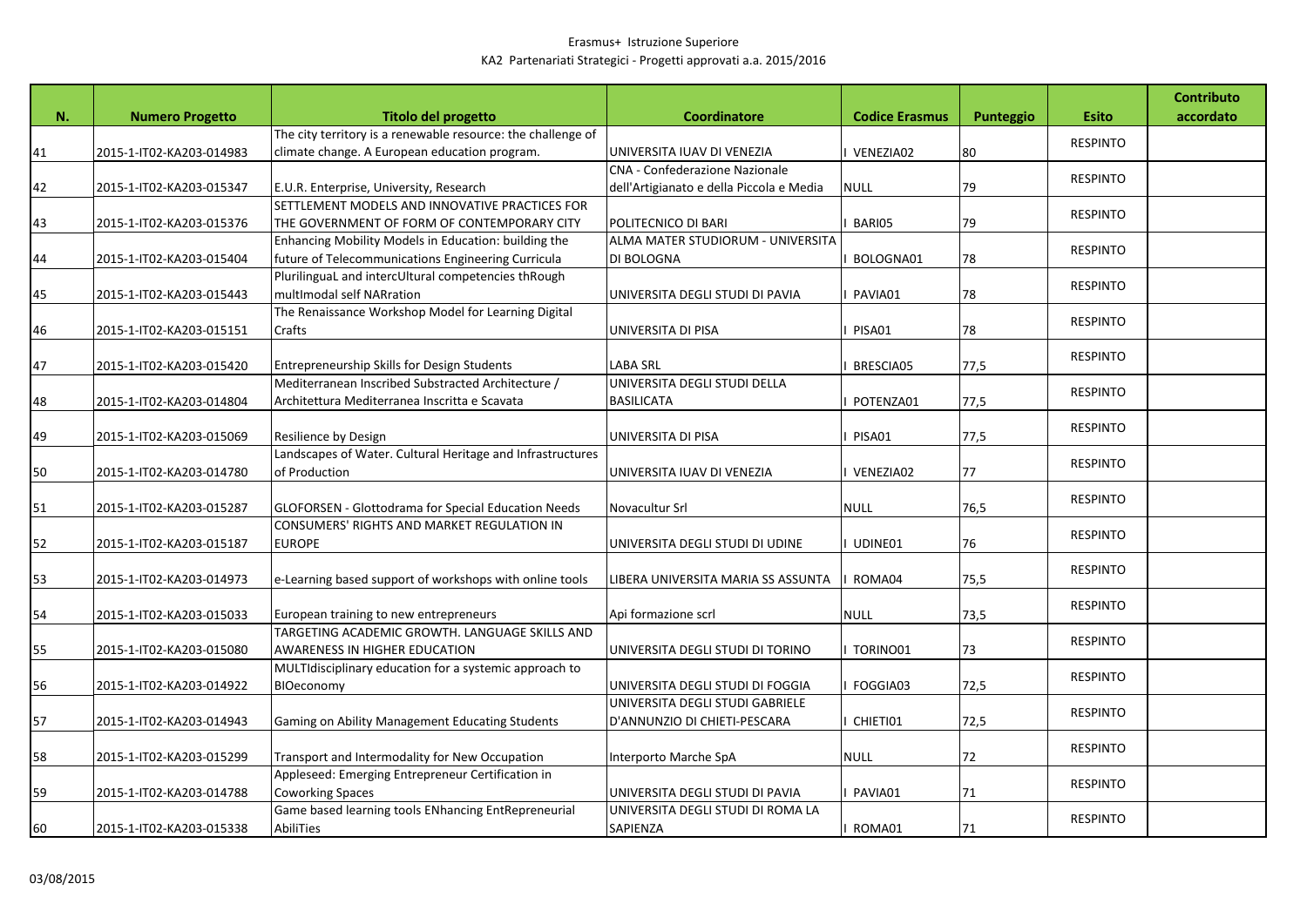| accordato<br><b>Numero Progetto</b><br><b>Titolo del progetto</b><br><b>Coordinatore</b><br><b>Codice Erasmus</b><br><b>Esito</b><br>N.<br>Punteggio<br>The city territory is a renewable resource: the challenge of<br><b>RESPINTO</b><br>climate change. A European education program.<br>UNIVERSITA IUAV DI VENEZIA<br>80<br>2015-1-IT02-KA203-014983<br>VENEZIA02<br>41<br>CNA - Confederazione Nazionale<br><b>RESPINTO</b><br>E.U.R. Enterprise, University, Research<br>dell'Artigianato e della Piccola e Media<br>42<br><b>NULL</b><br>79<br>2015-1-IT02-KA203-015347<br>SETTLEMENT MODELS AND INNOVATIVE PRACTICES FOR<br><b>RESPINTO</b><br>43<br>BARI05<br>79<br>2015-1-IT02-KA203-015376<br>THE GOVERNMENT OF FORM OF CONTEMPORARY CITY<br>POLITECNICO DI BARI<br>ALMA MATER STUDIORUM - UNIVERSITA<br>Enhancing Mobility Models in Education: building the<br><b>RESPINTO</b><br>future of Telecommunications Engineering Curricula<br>44<br>2015-1-IT02-KA203-015404<br>DI BOLOGNA<br>BOLOGNA01<br>78<br>PlurilinguaL and intercUltural competencies thRough<br><b>RESPINTO</b><br>multImodal self NARration<br>78<br>45<br>2015-1-IT02-KA203-015443<br>PAVIA01<br>UNIVERSITA DEGLI STUDI DI PAVIA<br>The Renaissance Workshop Model for Learning Digital<br><b>RESPINTO</b><br>46<br>2015-1-IT02-KA203-015151<br>Crafts<br>UNIVERSITA DI PISA<br>PISA01<br>78<br><b>RESPINTO</b><br>47<br>Entrepreneurship Skills for Design Students<br><b>LABA SRL</b><br>77,5<br>2015-1-IT02-KA203-015420<br><b>BRESCIA05</b><br>Mediterranean Inscribed Substracted Architecture /<br>UNIVERSITA DEGLI STUDI DELLA<br><b>RESPINTO</b><br>Architettura Mediterranea Inscritta e Scavata<br><b>BASILICATA</b><br>48<br>2015-1-IT02-KA203-014804<br>POTENZA01<br>77,5<br><b>RESPINTO</b><br>49<br>PISA01<br>77,5<br>2015-1-IT02-KA203-015069<br>Resilience by Design<br>UNIVERSITA DI PISA<br>Landscapes of Water. Cultural Heritage and Infrastructures<br><b>RESPINTO</b><br>of Production<br>77<br>2015-1-IT02-KA203-014780<br>UNIVERSITA IUAV DI VENEZIA<br>VENEZIA02<br>50<br><b>RESPINTO</b><br>51<br><b>GLOFORSEN - Glottodrama for Special Education Needs</b><br><b>NULL</b><br>76,5<br>2015-1-IT02-KA203-015287<br>Novacultur Srl<br>CONSUMERS' RIGHTS AND MARKET REGULATION IN<br><b>RESPINTO</b><br>52<br>2015-1-IT02-KA203-015187<br><b>EUROPE</b><br>UDINE01<br>76<br>UNIVERSITA DEGLI STUDI DI UDINE<br><b>RESPINTO</b><br>53<br>e-Learning based support of workshops with online tools<br>LIBERA UNIVERSITA MARIA SS ASSUNTA<br>75,5<br>2015-1-IT02-KA203-014973<br>ROMA04<br><b>RESPINTO</b><br>73,5<br>European training to new entrepreneurs<br>Api formazione scrl<br><b>NULL</b><br>54<br>2015-1-IT02-KA203-015033<br>TARGETING ACADEMIC GROWTH. LANGUAGE SKILLS AND<br><b>RESPINTO</b><br>55<br>AWARENESS IN HIGHER EDUCATION<br>73<br>2015-1-IT02-KA203-015080<br>UNIVERSITA DEGLI STUDI DI TORINO<br>TORINO01<br>MULTIdisciplinary education for a systemic approach to<br><b>RESPINTO</b><br>BIOeconomy<br>72,5<br>56<br>2015-1-IT02-KA203-014922<br>UNIVERSITA DEGLI STUDI DI FOGGIA<br>FOGGIA03<br>UNIVERSITA DEGLI STUDI GABRIELE<br><b>RESPINTO</b><br>57<br>Gaming on Ability Management Educating Students<br>D'ANNUNZIO DI CHIETI-PESCARA<br>CHIETI01<br>72,5<br>2015-1-IT02-KA203-014943<br><b>RESPINTO</b> |    |                          |                                                |                       |             |    | <b>Contributo</b> |
|------------------------------------------------------------------------------------------------------------------------------------------------------------------------------------------------------------------------------------------------------------------------------------------------------------------------------------------------------------------------------------------------------------------------------------------------------------------------------------------------------------------------------------------------------------------------------------------------------------------------------------------------------------------------------------------------------------------------------------------------------------------------------------------------------------------------------------------------------------------------------------------------------------------------------------------------------------------------------------------------------------------------------------------------------------------------------------------------------------------------------------------------------------------------------------------------------------------------------------------------------------------------------------------------------------------------------------------------------------------------------------------------------------------------------------------------------------------------------------------------------------------------------------------------------------------------------------------------------------------------------------------------------------------------------------------------------------------------------------------------------------------------------------------------------------------------------------------------------------------------------------------------------------------------------------------------------------------------------------------------------------------------------------------------------------------------------------------------------------------------------------------------------------------------------------------------------------------------------------------------------------------------------------------------------------------------------------------------------------------------------------------------------------------------------------------------------------------------------------------------------------------------------------------------------------------------------------------------------------------------------------------------------------------------------------------------------------------------------------------------------------------------------------------------------------------------------------------------------------------------------------------------------------------------------------------------------------------------------------------------------------------------------------------------------------------------------------------------------------------------------------------------------------------------------------------------------------------------------------------------------------------------------------------------------------------------------------------------|----|--------------------------|------------------------------------------------|-----------------------|-------------|----|-------------------|
|                                                                                                                                                                                                                                                                                                                                                                                                                                                                                                                                                                                                                                                                                                                                                                                                                                                                                                                                                                                                                                                                                                                                                                                                                                                                                                                                                                                                                                                                                                                                                                                                                                                                                                                                                                                                                                                                                                                                                                                                                                                                                                                                                                                                                                                                                                                                                                                                                                                                                                                                                                                                                                                                                                                                                                                                                                                                                                                                                                                                                                                                                                                                                                                                                                                                                                                                                |    |                          |                                                |                       |             |    |                   |
|                                                                                                                                                                                                                                                                                                                                                                                                                                                                                                                                                                                                                                                                                                                                                                                                                                                                                                                                                                                                                                                                                                                                                                                                                                                                                                                                                                                                                                                                                                                                                                                                                                                                                                                                                                                                                                                                                                                                                                                                                                                                                                                                                                                                                                                                                                                                                                                                                                                                                                                                                                                                                                                                                                                                                                                                                                                                                                                                                                                                                                                                                                                                                                                                                                                                                                                                                |    |                          |                                                |                       |             |    |                   |
|                                                                                                                                                                                                                                                                                                                                                                                                                                                                                                                                                                                                                                                                                                                                                                                                                                                                                                                                                                                                                                                                                                                                                                                                                                                                                                                                                                                                                                                                                                                                                                                                                                                                                                                                                                                                                                                                                                                                                                                                                                                                                                                                                                                                                                                                                                                                                                                                                                                                                                                                                                                                                                                                                                                                                                                                                                                                                                                                                                                                                                                                                                                                                                                                                                                                                                                                                |    |                          |                                                |                       |             |    |                   |
|                                                                                                                                                                                                                                                                                                                                                                                                                                                                                                                                                                                                                                                                                                                                                                                                                                                                                                                                                                                                                                                                                                                                                                                                                                                                                                                                                                                                                                                                                                                                                                                                                                                                                                                                                                                                                                                                                                                                                                                                                                                                                                                                                                                                                                                                                                                                                                                                                                                                                                                                                                                                                                                                                                                                                                                                                                                                                                                                                                                                                                                                                                                                                                                                                                                                                                                                                |    |                          |                                                |                       |             |    |                   |
|                                                                                                                                                                                                                                                                                                                                                                                                                                                                                                                                                                                                                                                                                                                                                                                                                                                                                                                                                                                                                                                                                                                                                                                                                                                                                                                                                                                                                                                                                                                                                                                                                                                                                                                                                                                                                                                                                                                                                                                                                                                                                                                                                                                                                                                                                                                                                                                                                                                                                                                                                                                                                                                                                                                                                                                                                                                                                                                                                                                                                                                                                                                                                                                                                                                                                                                                                |    |                          |                                                |                       |             |    |                   |
|                                                                                                                                                                                                                                                                                                                                                                                                                                                                                                                                                                                                                                                                                                                                                                                                                                                                                                                                                                                                                                                                                                                                                                                                                                                                                                                                                                                                                                                                                                                                                                                                                                                                                                                                                                                                                                                                                                                                                                                                                                                                                                                                                                                                                                                                                                                                                                                                                                                                                                                                                                                                                                                                                                                                                                                                                                                                                                                                                                                                                                                                                                                                                                                                                                                                                                                                                |    |                          |                                                |                       |             |    |                   |
|                                                                                                                                                                                                                                                                                                                                                                                                                                                                                                                                                                                                                                                                                                                                                                                                                                                                                                                                                                                                                                                                                                                                                                                                                                                                                                                                                                                                                                                                                                                                                                                                                                                                                                                                                                                                                                                                                                                                                                                                                                                                                                                                                                                                                                                                                                                                                                                                                                                                                                                                                                                                                                                                                                                                                                                                                                                                                                                                                                                                                                                                                                                                                                                                                                                                                                                                                |    |                          |                                                |                       |             |    |                   |
|                                                                                                                                                                                                                                                                                                                                                                                                                                                                                                                                                                                                                                                                                                                                                                                                                                                                                                                                                                                                                                                                                                                                                                                                                                                                                                                                                                                                                                                                                                                                                                                                                                                                                                                                                                                                                                                                                                                                                                                                                                                                                                                                                                                                                                                                                                                                                                                                                                                                                                                                                                                                                                                                                                                                                                                                                                                                                                                                                                                                                                                                                                                                                                                                                                                                                                                                                |    |                          |                                                |                       |             |    |                   |
|                                                                                                                                                                                                                                                                                                                                                                                                                                                                                                                                                                                                                                                                                                                                                                                                                                                                                                                                                                                                                                                                                                                                                                                                                                                                                                                                                                                                                                                                                                                                                                                                                                                                                                                                                                                                                                                                                                                                                                                                                                                                                                                                                                                                                                                                                                                                                                                                                                                                                                                                                                                                                                                                                                                                                                                                                                                                                                                                                                                                                                                                                                                                                                                                                                                                                                                                                |    |                          |                                                |                       |             |    |                   |
|                                                                                                                                                                                                                                                                                                                                                                                                                                                                                                                                                                                                                                                                                                                                                                                                                                                                                                                                                                                                                                                                                                                                                                                                                                                                                                                                                                                                                                                                                                                                                                                                                                                                                                                                                                                                                                                                                                                                                                                                                                                                                                                                                                                                                                                                                                                                                                                                                                                                                                                                                                                                                                                                                                                                                                                                                                                                                                                                                                                                                                                                                                                                                                                                                                                                                                                                                |    |                          |                                                |                       |             |    |                   |
|                                                                                                                                                                                                                                                                                                                                                                                                                                                                                                                                                                                                                                                                                                                                                                                                                                                                                                                                                                                                                                                                                                                                                                                                                                                                                                                                                                                                                                                                                                                                                                                                                                                                                                                                                                                                                                                                                                                                                                                                                                                                                                                                                                                                                                                                                                                                                                                                                                                                                                                                                                                                                                                                                                                                                                                                                                                                                                                                                                                                                                                                                                                                                                                                                                                                                                                                                |    |                          |                                                |                       |             |    |                   |
|                                                                                                                                                                                                                                                                                                                                                                                                                                                                                                                                                                                                                                                                                                                                                                                                                                                                                                                                                                                                                                                                                                                                                                                                                                                                                                                                                                                                                                                                                                                                                                                                                                                                                                                                                                                                                                                                                                                                                                                                                                                                                                                                                                                                                                                                                                                                                                                                                                                                                                                                                                                                                                                                                                                                                                                                                                                                                                                                                                                                                                                                                                                                                                                                                                                                                                                                                |    |                          |                                                |                       |             |    |                   |
|                                                                                                                                                                                                                                                                                                                                                                                                                                                                                                                                                                                                                                                                                                                                                                                                                                                                                                                                                                                                                                                                                                                                                                                                                                                                                                                                                                                                                                                                                                                                                                                                                                                                                                                                                                                                                                                                                                                                                                                                                                                                                                                                                                                                                                                                                                                                                                                                                                                                                                                                                                                                                                                                                                                                                                                                                                                                                                                                                                                                                                                                                                                                                                                                                                                                                                                                                |    |                          |                                                |                       |             |    |                   |
|                                                                                                                                                                                                                                                                                                                                                                                                                                                                                                                                                                                                                                                                                                                                                                                                                                                                                                                                                                                                                                                                                                                                                                                                                                                                                                                                                                                                                                                                                                                                                                                                                                                                                                                                                                                                                                                                                                                                                                                                                                                                                                                                                                                                                                                                                                                                                                                                                                                                                                                                                                                                                                                                                                                                                                                                                                                                                                                                                                                                                                                                                                                                                                                                                                                                                                                                                |    |                          |                                                |                       |             |    |                   |
|                                                                                                                                                                                                                                                                                                                                                                                                                                                                                                                                                                                                                                                                                                                                                                                                                                                                                                                                                                                                                                                                                                                                                                                                                                                                                                                                                                                                                                                                                                                                                                                                                                                                                                                                                                                                                                                                                                                                                                                                                                                                                                                                                                                                                                                                                                                                                                                                                                                                                                                                                                                                                                                                                                                                                                                                                                                                                                                                                                                                                                                                                                                                                                                                                                                                                                                                                |    |                          |                                                |                       |             |    |                   |
|                                                                                                                                                                                                                                                                                                                                                                                                                                                                                                                                                                                                                                                                                                                                                                                                                                                                                                                                                                                                                                                                                                                                                                                                                                                                                                                                                                                                                                                                                                                                                                                                                                                                                                                                                                                                                                                                                                                                                                                                                                                                                                                                                                                                                                                                                                                                                                                                                                                                                                                                                                                                                                                                                                                                                                                                                                                                                                                                                                                                                                                                                                                                                                                                                                                                                                                                                |    |                          |                                                |                       |             |    |                   |
|                                                                                                                                                                                                                                                                                                                                                                                                                                                                                                                                                                                                                                                                                                                                                                                                                                                                                                                                                                                                                                                                                                                                                                                                                                                                                                                                                                                                                                                                                                                                                                                                                                                                                                                                                                                                                                                                                                                                                                                                                                                                                                                                                                                                                                                                                                                                                                                                                                                                                                                                                                                                                                                                                                                                                                                                                                                                                                                                                                                                                                                                                                                                                                                                                                                                                                                                                |    |                          |                                                |                       |             |    |                   |
|                                                                                                                                                                                                                                                                                                                                                                                                                                                                                                                                                                                                                                                                                                                                                                                                                                                                                                                                                                                                                                                                                                                                                                                                                                                                                                                                                                                                                                                                                                                                                                                                                                                                                                                                                                                                                                                                                                                                                                                                                                                                                                                                                                                                                                                                                                                                                                                                                                                                                                                                                                                                                                                                                                                                                                                                                                                                                                                                                                                                                                                                                                                                                                                                                                                                                                                                                |    |                          |                                                |                       |             |    |                   |
|                                                                                                                                                                                                                                                                                                                                                                                                                                                                                                                                                                                                                                                                                                                                                                                                                                                                                                                                                                                                                                                                                                                                                                                                                                                                                                                                                                                                                                                                                                                                                                                                                                                                                                                                                                                                                                                                                                                                                                                                                                                                                                                                                                                                                                                                                                                                                                                                                                                                                                                                                                                                                                                                                                                                                                                                                                                                                                                                                                                                                                                                                                                                                                                                                                                                                                                                                |    |                          |                                                |                       |             |    |                   |
|                                                                                                                                                                                                                                                                                                                                                                                                                                                                                                                                                                                                                                                                                                                                                                                                                                                                                                                                                                                                                                                                                                                                                                                                                                                                                                                                                                                                                                                                                                                                                                                                                                                                                                                                                                                                                                                                                                                                                                                                                                                                                                                                                                                                                                                                                                                                                                                                                                                                                                                                                                                                                                                                                                                                                                                                                                                                                                                                                                                                                                                                                                                                                                                                                                                                                                                                                |    |                          |                                                |                       |             |    |                   |
|                                                                                                                                                                                                                                                                                                                                                                                                                                                                                                                                                                                                                                                                                                                                                                                                                                                                                                                                                                                                                                                                                                                                                                                                                                                                                                                                                                                                                                                                                                                                                                                                                                                                                                                                                                                                                                                                                                                                                                                                                                                                                                                                                                                                                                                                                                                                                                                                                                                                                                                                                                                                                                                                                                                                                                                                                                                                                                                                                                                                                                                                                                                                                                                                                                                                                                                                                |    |                          |                                                |                       |             |    |                   |
|                                                                                                                                                                                                                                                                                                                                                                                                                                                                                                                                                                                                                                                                                                                                                                                                                                                                                                                                                                                                                                                                                                                                                                                                                                                                                                                                                                                                                                                                                                                                                                                                                                                                                                                                                                                                                                                                                                                                                                                                                                                                                                                                                                                                                                                                                                                                                                                                                                                                                                                                                                                                                                                                                                                                                                                                                                                                                                                                                                                                                                                                                                                                                                                                                                                                                                                                                |    |                          |                                                |                       |             |    |                   |
|                                                                                                                                                                                                                                                                                                                                                                                                                                                                                                                                                                                                                                                                                                                                                                                                                                                                                                                                                                                                                                                                                                                                                                                                                                                                                                                                                                                                                                                                                                                                                                                                                                                                                                                                                                                                                                                                                                                                                                                                                                                                                                                                                                                                                                                                                                                                                                                                                                                                                                                                                                                                                                                                                                                                                                                                                                                                                                                                                                                                                                                                                                                                                                                                                                                                                                                                                |    |                          |                                                |                       |             |    |                   |
|                                                                                                                                                                                                                                                                                                                                                                                                                                                                                                                                                                                                                                                                                                                                                                                                                                                                                                                                                                                                                                                                                                                                                                                                                                                                                                                                                                                                                                                                                                                                                                                                                                                                                                                                                                                                                                                                                                                                                                                                                                                                                                                                                                                                                                                                                                                                                                                                                                                                                                                                                                                                                                                                                                                                                                                                                                                                                                                                                                                                                                                                                                                                                                                                                                                                                                                                                |    |                          |                                                |                       |             |    |                   |
|                                                                                                                                                                                                                                                                                                                                                                                                                                                                                                                                                                                                                                                                                                                                                                                                                                                                                                                                                                                                                                                                                                                                                                                                                                                                                                                                                                                                                                                                                                                                                                                                                                                                                                                                                                                                                                                                                                                                                                                                                                                                                                                                                                                                                                                                                                                                                                                                                                                                                                                                                                                                                                                                                                                                                                                                                                                                                                                                                                                                                                                                                                                                                                                                                                                                                                                                                |    |                          |                                                |                       |             |    |                   |
|                                                                                                                                                                                                                                                                                                                                                                                                                                                                                                                                                                                                                                                                                                                                                                                                                                                                                                                                                                                                                                                                                                                                                                                                                                                                                                                                                                                                                                                                                                                                                                                                                                                                                                                                                                                                                                                                                                                                                                                                                                                                                                                                                                                                                                                                                                                                                                                                                                                                                                                                                                                                                                                                                                                                                                                                                                                                                                                                                                                                                                                                                                                                                                                                                                                                                                                                                |    |                          |                                                |                       |             |    |                   |
|                                                                                                                                                                                                                                                                                                                                                                                                                                                                                                                                                                                                                                                                                                                                                                                                                                                                                                                                                                                                                                                                                                                                                                                                                                                                                                                                                                                                                                                                                                                                                                                                                                                                                                                                                                                                                                                                                                                                                                                                                                                                                                                                                                                                                                                                                                                                                                                                                                                                                                                                                                                                                                                                                                                                                                                                                                                                                                                                                                                                                                                                                                                                                                                                                                                                                                                                                |    |                          |                                                |                       |             |    |                   |
|                                                                                                                                                                                                                                                                                                                                                                                                                                                                                                                                                                                                                                                                                                                                                                                                                                                                                                                                                                                                                                                                                                                                                                                                                                                                                                                                                                                                                                                                                                                                                                                                                                                                                                                                                                                                                                                                                                                                                                                                                                                                                                                                                                                                                                                                                                                                                                                                                                                                                                                                                                                                                                                                                                                                                                                                                                                                                                                                                                                                                                                                                                                                                                                                                                                                                                                                                |    |                          |                                                |                       |             |    |                   |
|                                                                                                                                                                                                                                                                                                                                                                                                                                                                                                                                                                                                                                                                                                                                                                                                                                                                                                                                                                                                                                                                                                                                                                                                                                                                                                                                                                                                                                                                                                                                                                                                                                                                                                                                                                                                                                                                                                                                                                                                                                                                                                                                                                                                                                                                                                                                                                                                                                                                                                                                                                                                                                                                                                                                                                                                                                                                                                                                                                                                                                                                                                                                                                                                                                                                                                                                                |    |                          |                                                |                       |             |    |                   |
|                                                                                                                                                                                                                                                                                                                                                                                                                                                                                                                                                                                                                                                                                                                                                                                                                                                                                                                                                                                                                                                                                                                                                                                                                                                                                                                                                                                                                                                                                                                                                                                                                                                                                                                                                                                                                                                                                                                                                                                                                                                                                                                                                                                                                                                                                                                                                                                                                                                                                                                                                                                                                                                                                                                                                                                                                                                                                                                                                                                                                                                                                                                                                                                                                                                                                                                                                |    |                          |                                                |                       |             |    |                   |
|                                                                                                                                                                                                                                                                                                                                                                                                                                                                                                                                                                                                                                                                                                                                                                                                                                                                                                                                                                                                                                                                                                                                                                                                                                                                                                                                                                                                                                                                                                                                                                                                                                                                                                                                                                                                                                                                                                                                                                                                                                                                                                                                                                                                                                                                                                                                                                                                                                                                                                                                                                                                                                                                                                                                                                                                                                                                                                                                                                                                                                                                                                                                                                                                                                                                                                                                                |    |                          |                                                |                       |             |    |                   |
|                                                                                                                                                                                                                                                                                                                                                                                                                                                                                                                                                                                                                                                                                                                                                                                                                                                                                                                                                                                                                                                                                                                                                                                                                                                                                                                                                                                                                                                                                                                                                                                                                                                                                                                                                                                                                                                                                                                                                                                                                                                                                                                                                                                                                                                                                                                                                                                                                                                                                                                                                                                                                                                                                                                                                                                                                                                                                                                                                                                                                                                                                                                                                                                                                                                                                                                                                |    |                          |                                                |                       |             |    |                   |
|                                                                                                                                                                                                                                                                                                                                                                                                                                                                                                                                                                                                                                                                                                                                                                                                                                                                                                                                                                                                                                                                                                                                                                                                                                                                                                                                                                                                                                                                                                                                                                                                                                                                                                                                                                                                                                                                                                                                                                                                                                                                                                                                                                                                                                                                                                                                                                                                                                                                                                                                                                                                                                                                                                                                                                                                                                                                                                                                                                                                                                                                                                                                                                                                                                                                                                                                                |    |                          |                                                |                       |             |    |                   |
|                                                                                                                                                                                                                                                                                                                                                                                                                                                                                                                                                                                                                                                                                                                                                                                                                                                                                                                                                                                                                                                                                                                                                                                                                                                                                                                                                                                                                                                                                                                                                                                                                                                                                                                                                                                                                                                                                                                                                                                                                                                                                                                                                                                                                                                                                                                                                                                                                                                                                                                                                                                                                                                                                                                                                                                                                                                                                                                                                                                                                                                                                                                                                                                                                                                                                                                                                |    |                          |                                                |                       |             |    |                   |
|                                                                                                                                                                                                                                                                                                                                                                                                                                                                                                                                                                                                                                                                                                                                                                                                                                                                                                                                                                                                                                                                                                                                                                                                                                                                                                                                                                                                                                                                                                                                                                                                                                                                                                                                                                                                                                                                                                                                                                                                                                                                                                                                                                                                                                                                                                                                                                                                                                                                                                                                                                                                                                                                                                                                                                                                                                                                                                                                                                                                                                                                                                                                                                                                                                                                                                                                                |    |                          |                                                |                       |             |    |                   |
|                                                                                                                                                                                                                                                                                                                                                                                                                                                                                                                                                                                                                                                                                                                                                                                                                                                                                                                                                                                                                                                                                                                                                                                                                                                                                                                                                                                                                                                                                                                                                                                                                                                                                                                                                                                                                                                                                                                                                                                                                                                                                                                                                                                                                                                                                                                                                                                                                                                                                                                                                                                                                                                                                                                                                                                                                                                                                                                                                                                                                                                                                                                                                                                                                                                                                                                                                |    |                          |                                                |                       |             |    |                   |
|                                                                                                                                                                                                                                                                                                                                                                                                                                                                                                                                                                                                                                                                                                                                                                                                                                                                                                                                                                                                                                                                                                                                                                                                                                                                                                                                                                                                                                                                                                                                                                                                                                                                                                                                                                                                                                                                                                                                                                                                                                                                                                                                                                                                                                                                                                                                                                                                                                                                                                                                                                                                                                                                                                                                                                                                                                                                                                                                                                                                                                                                                                                                                                                                                                                                                                                                                | 58 | 2015-1-IT02-KA203-015299 | Transport and Intermodality for New Occupation | Interporto Marche SpA | <b>NULL</b> | 72 |                   |
| Appleseed: Emerging Entrepreneur Certification in                                                                                                                                                                                                                                                                                                                                                                                                                                                                                                                                                                                                                                                                                                                                                                                                                                                                                                                                                                                                                                                                                                                                                                                                                                                                                                                                                                                                                                                                                                                                                                                                                                                                                                                                                                                                                                                                                                                                                                                                                                                                                                                                                                                                                                                                                                                                                                                                                                                                                                                                                                                                                                                                                                                                                                                                                                                                                                                                                                                                                                                                                                                                                                                                                                                                                              |    |                          |                                                |                       |             |    |                   |
| <b>RESPINTO</b><br><b>Coworking Spaces</b><br>UNIVERSITA DEGLI STUDI DI PAVIA<br>59<br>2015-1-IT02-KA203-014788<br>PAVIA01<br>71                                                                                                                                                                                                                                                                                                                                                                                                                                                                                                                                                                                                                                                                                                                                                                                                                                                                                                                                                                                                                                                                                                                                                                                                                                                                                                                                                                                                                                                                                                                                                                                                                                                                                                                                                                                                                                                                                                                                                                                                                                                                                                                                                                                                                                                                                                                                                                                                                                                                                                                                                                                                                                                                                                                                                                                                                                                                                                                                                                                                                                                                                                                                                                                                               |    |                          |                                                |                       |             |    |                   |
| Game based learning tools ENhancing EntRepreneurial<br>UNIVERSITA DEGLI STUDI DI ROMA LA                                                                                                                                                                                                                                                                                                                                                                                                                                                                                                                                                                                                                                                                                                                                                                                                                                                                                                                                                                                                                                                                                                                                                                                                                                                                                                                                                                                                                                                                                                                                                                                                                                                                                                                                                                                                                                                                                                                                                                                                                                                                                                                                                                                                                                                                                                                                                                                                                                                                                                                                                                                                                                                                                                                                                                                                                                                                                                                                                                                                                                                                                                                                                                                                                                                       |    |                          |                                                |                       |             |    |                   |
| <b>RESPINTO</b><br>SAPIENZA<br>AbiliTies<br>60<br>2015-1-IT02-KA203-015338<br>ROMA01<br>71                                                                                                                                                                                                                                                                                                                                                                                                                                                                                                                                                                                                                                                                                                                                                                                                                                                                                                                                                                                                                                                                                                                                                                                                                                                                                                                                                                                                                                                                                                                                                                                                                                                                                                                                                                                                                                                                                                                                                                                                                                                                                                                                                                                                                                                                                                                                                                                                                                                                                                                                                                                                                                                                                                                                                                                                                                                                                                                                                                                                                                                                                                                                                                                                                                                     |    |                          |                                                |                       |             |    |                   |